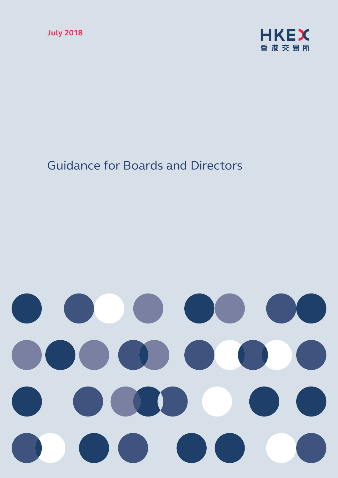

## Guidance for Boards and Directors

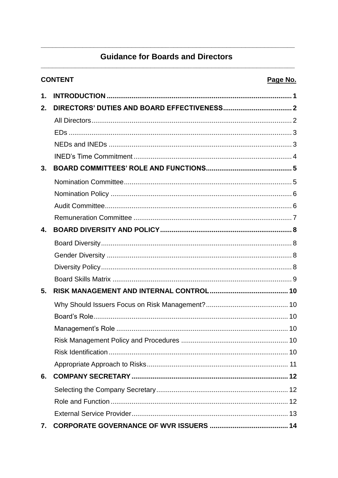### **Guidance for Boards and Directors**

| <b>CONTENT</b> |  | Page No. |
|----------------|--|----------|
| 1.             |  |          |
| 2.             |  |          |
|                |  |          |
|                |  |          |
|                |  |          |
|                |  |          |
| 3.             |  |          |
|                |  |          |
|                |  |          |
|                |  |          |
|                |  |          |
| 4.             |  |          |
|                |  |          |
|                |  |          |
|                |  |          |
|                |  |          |
| 5.             |  |          |
|                |  |          |
|                |  |          |
|                |  |          |
|                |  |          |
|                |  |          |
|                |  |          |
| 6.             |  |          |
|                |  |          |
|                |  |          |
|                |  |          |
| 7.             |  |          |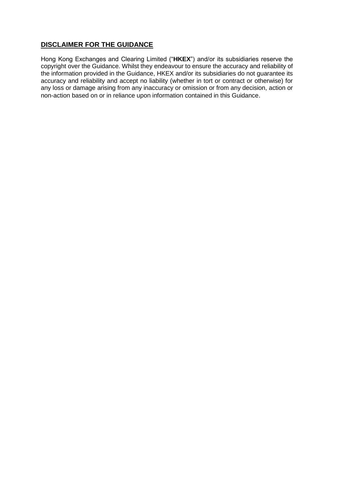#### **DISCLAIMER FOR THE GUIDANCE**

Hong Kong Exchanges and Clearing Limited ("**HKEX**") and/or its subsidiaries reserve the copyright over the Guidance. Whilst they endeavour to ensure the accuracy and reliability of the information provided in the Guidance, HKEX and/or its subsidiaries do not guarantee its accuracy and reliability and accept no liability (whether in tort or contract or otherwise) for any loss or damage arising from any inaccuracy or omission or from any decision, action or non-action based on or in reliance upon information contained in this Guidance.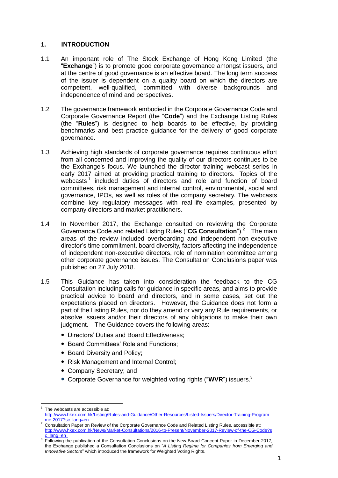#### <span id="page-3-0"></span>**1. INTRODUCTION**

- 1.1 An important role of The Stock Exchange of Hong Kong Limited (the "**Exchange**") is to promote good corporate governance amongst issuers, and at the centre of good governance is an effective board. The long term success of the issuer is dependent on a quality board on which the directors are competent, well-qualified, committed with diverse backgrounds and independence of mind and perspectives.
- 1.2 The governance framework embodied in the Corporate Governance Code and Corporate Governance Report (the "**Code**") and the Exchange Listing Rules (the "**Rules**") is designed to help boards to be effective, by providing benchmarks and best practice guidance for the delivery of good corporate governance.
- 1.3 Achieving high standards of corporate governance requires continuous effort from all concerned and improving the quality of our directors continues to be the Exchange's focus. We launched the director training webcast series in early 2017 aimed at providing practical training to directors. Topics of the webcasts<sup>1</sup> included duties of directors and role and function of board committees, risk management and internal control, environmental, social and governance, IPOs, as well as roles of the company secretary. The webcasts combine key regulatory messages with real-life examples, presented by company directors and market practitioners.
- 1.4 In November 2017, the Exchange consulted on reviewing the Corporate Governance Code and related Listing Rules ("CG Consultation").<sup>2</sup> The main areas of the review included overboarding and independent non-executive director's time commitment, board diversity, factors affecting the independence of independent non-executive directors, role of nomination committee among other corporate governance issues. The Consultation Conclusions paper was published on 27 July 2018.
- 1.5 This Guidance has taken into consideration the feedback to the CG Consultation including calls for guidance in specific areas, and aims to provide practical advice to board and directors, and in some cases, set out the expectations placed on directors. However, the Guidance does not form a part of the Listing Rules, nor do they amend or vary any Rule requirements, or absolve issuers and/or their directors of any obligations to make their own judgment. The Guidance covers the following areas:
	- Directors' Duties and Board Effectiveness;
	- Board Committees' Role and Functions:
	- Board Diversity and Policy:
	- Risk Management and Internal Control;
	- Company Secretary; and
	- Corporate Governance for weighted voting rights ("**WVR**") issuers. 3

<span id="page-3-1"></span><sup>&</sup>lt;u>.</u> 1 The webcasts are accessible at:

[http://www.hkex.com.hk/Listing/Rules-and-Guidance/Other-Resources/Listed-Issuers/Director-Training-Program](http://www.hkex.com.hk/Listing/Rules-and-Guidance/Other-Resources/Listed-Issuers/Director-Training-Programme-2017?sc_lang=en) [me-2017?sc\\_lang=en](http://www.hkex.com.hk/Listing/Rules-and-Guidance/Other-Resources/Listed-Issuers/Director-Training-Programme-2017?sc_lang=en)

<sup>&</sup>lt;sup>2</sup> Consultation Paper on Review of the Corporate Governance Code and Related Listing Rules, accessible at: http://www.hkex.com.hk/News/Market-Consultations/2016-to-Present/November-2017-Review-of-the-CG-Code?s

**C\_lang=en**<br><sup>3</sup> Following the publication of the Consultation Conclusions on the New Board Concept Paper in December 2017, the Exchange published a Consultation Conclusions on "*A Listing Regime for Companies from Emerging and Innovative Sectors*" which introduced the framework for Weighted Voting Rights.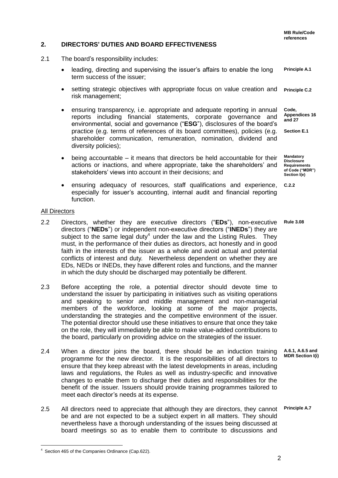**Mandatory Disclosure** 

**of Code ("MDR") Section l(e)**

#### <span id="page-4-0"></span>**2. DIRECTORS' DUTIES AND BOARD EFFECTIVENESS**

- 2.1 The board's responsibility includes:
	- **Principle A.1** leading, directing and supervising the issuer's affairs to enable the long term success of the issuer;
	- **Principle C.2** setting strategic objectives with appropriate focus on value creation and risk management;
	- **Code, Appendices 16 and 27 Section E.1** ensuring transparency, i.e. appropriate and adequate reporting in annual reports including financial statements, corporate governance and environmental, social and governance ("**ESG**"), disclosures of the board's practice (e.g. terms of references of its board committees), policies (e.g. shareholder communication, remuneration, nomination, dividend and diversity policies);
	- **Requirements** being accountable – it means that directors be held accountable for their actions or inactions, and where appropriate, take the shareholders' and stakeholders' views into account in their decisions; and
	- **C.2.2** ensuring adequacy of resources, staff qualifications and experience, especially for issuer's accounting, internal audit and financial reporting function.

#### <span id="page-4-1"></span>All Directors

- **Rule 3.08** 2.2 Directors, whether they are executive directors ("**EDs**"), non-executive directors ("**NEDs**") or independent non-executive directors ("**INEDs**") they are subject to the same legal duty<sup>4</sup> under the law and the Listing Rules. They must, in the performance of their duties as directors, act honestly and in good faith in the interests of the issuer as a whole and avoid actual and potential conflicts of interest and duty. Nevertheless dependent on whether they are EDs, NEDs or INEDs, they have different roles and functions, and the manner in which the duty should be discharged may potentially be different.
- 2.3 Before accepting the role, a potential director should devote time to understand the issuer by participating in initiatives such as visiting operations and speaking to senior and middle management and non-managerial members of the workforce, looking at some of the major projects, understanding the strategies and the competitive environment of the issuer. The potential director should use these initiatives to ensure that once they take on the role, they will immediately be able to make value-added contributions to the board, particularly on providing advice on the strategies of the issuer.
- **A.6.1, A.6.5 and MDR Section I(i)** 2.4 When a director joins the board, there should be an induction training programme for the new director. It is the responsibilities of all directors to ensure that they keep abreast with the latest developments in areas, including laws and regulations, the Rules as well as industry-specific and innovative changes to enable them to discharge their duties and responsibilities for the benefit of the issuer. Issuers should provide training programmes tailored to meet each director's needs at its expense.
- **Principle A.7** 2.5 All directors need to appreciate that although they are directors, they cannot be and are not expected to be a subject expert in all matters. They should nevertheless have a thorough understanding of the issues being discussed at board meetings so as to enable them to contribute to discussions and

-

 $4$  Section 465 of the Companies Ordinance (Cap.622).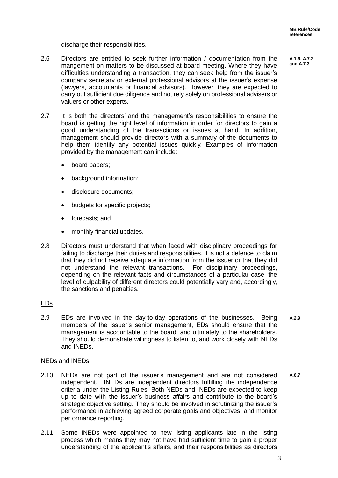discharge their responsibilities.

- 2.6 Directors are entitled to seek further information / documentation from the mangement on matters to be discussed at board meeting. Where they have difficulties understanding a transaction, they can seek help from the issuer's company secretary or external professional advisors at the issuer's expense (lawyers, accountants or financial advisors). However, they are expected to carry out sufficient due diligence and not rely solely on professional advisers or valuers or other experts.
- 2.7 It is both the directors' and the management's responsibilities to ensure the board is getting the right level of information in order for directors to gain a good understanding of the transactions or issues at hand. In addition, management should provide directors with a summary of the documents to help them identify any potential issues quickly. Examples of information provided by the management can include:
	- board papers;
	- background information;
	- disclosure documents;
	- budgets for specific projects;
	- forecasts; and
	- monthly financial updates.
- 2.8 Directors must understand that when faced with disciplinary proceedings for failing to discharge their duties and responsibilities, it is not a defence to claim that they did not receive adequate information from the issuer or that they did not understand the relevant transactions. For disciplinary proceedings, depending on the relevant facts and circumstances of a particular case, the level of culpability of different directors could potentially vary and, accordingly, the sanctions and penalties.

#### <span id="page-5-0"></span>EDs

**A.2.9** 2.9 EDs are involved in the day-to-day operations of the businesses. Being members of the issuer's senior management, EDs should ensure that the management is accountable to the board, and ultimately to the shareholders. They should demonstrate willingness to listen to, and work closely with NEDs and INEDs.

#### <span id="page-5-1"></span>NEDs and INEDs

- **A.6.7** 2.10 NEDs are not part of the issuer's management and are not considered independent. INEDs are independent directors fulfilling the independence criteria under the Listing Rules. Both NEDs and INEDs are expected to keep up to date with the issuer's business affairs and contribute to the board's strategic objective setting. They should be involved in scrutinizing the issuer's performance in achieving agreed corporate goals and objectives, and monitor performance reporting.
- 2.11 Some INEDs were appointed to new listing applicants late in the listing process which means they may not have had sufficient time to gain a proper understanding of the applicant's affairs, and their responsibilities as directors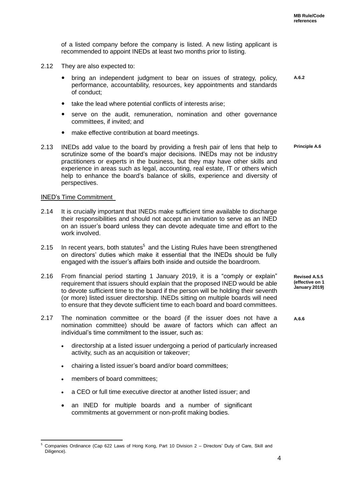of a listed company before the company is listed. A new listing applicant is recommended to appoint INEDs at least two months prior to listing.

- 2.12 They are also expected to:
	- bring an independent judgment to bear on issues of strategy, policy, performance, accountability, resources, key appointments and standards of conduct; **A.6.2**
	- take the lead where potential conflicts of interests arise;
	- serve on the audit, remuneration, nomination and other governance committees, if invited; and
	- make effective contribution at board meetings.
- 2.13 INEDs add value to the board by providing a fresh pair of lens that help to scrutinize some of the board's major decisions. INEDs may not be industry practitioners or experts in the business, but they may have other skills and experience in areas such as legal, accounting, real estate, IT or others which help to enhance the board's balance of skills, experience and diversity of perspectives. **Principle A.6**

#### <span id="page-6-0"></span>INED's Time Commitment

- 2.14 It is crucially important that INEDs make sufficient time available to discharge their responsibilities and should not accept an invitation to serve as an INED on an issuer's board unless they can devote adequate time and effort to the work involved.
- 2.15 In recent years, both statutes<sup>5</sup> and the Listing Rules have been strengthened on directors' duties which make it essential that the INEDs should be fully engaged with the issuer's affairs both inside and outside the boardroom.
- 2.16 From financial period starting 1 January 2019, it is a "comply or explain" requirement that issuers should explain that the proposed INED would be able to devote sufficient time to the board if the person will be holding their seventh (or more) listed issuer directorship. INEDs sitting on multiple boards will need to ensure that they devote sufficient time to each board and board committees.
- 2.17 The nomination committee or the board (if the issuer does not have a nomination committee) should be aware of factors which can affect an individual's time commitment to the issuer, such as:
	- directorship at a listed issuer undergoing a period of particularly increased activity, such as an acquisition or takeover;
	- chairing a listed issuer's board and/or board committees;
	- members of board committees;
	- a CEO or full time executive director at another listed issuer; and
	- an INED for multiple boards and a number of significant commitments at government or non-profit making bodies.

**Revised A.5.5 (effective on 1 January 2019)**

**A.6.6**

<sup>-</sup><sup>5</sup> Companies Ordinance (Cap 622 Laws of Hong Kong, Part 10 Division 2 – Directors' Duty of Care, Skill and Diligence).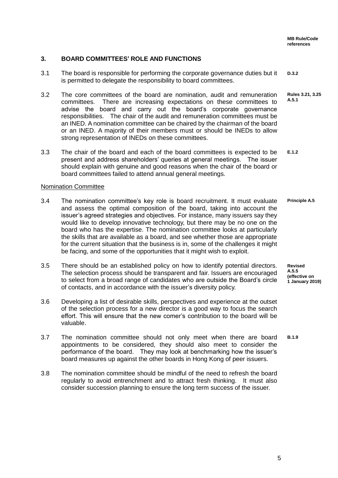#### <span id="page-7-0"></span>**3. BOARD COMMITTEES' ROLE AND FUNCTIONS**

- **D.3.2** 3.1 The board is responsible for performing the corporate governance duties but it is permitted to delegate the responsibility to board committees.
- **Rules 3.21, 3.25 A.5.1** 3.2 The core committees of the board are nomination, audit and remuneration committees. There are increasing expectations on these committees to advise the board and carry out the board's corporate governance responsibilities. The chair of the audit and remuneration committees must be an INED. A nomination committee can be chaired by the chairman of the board or an INED. A majority of their members must or should be INEDs to allow strong representation of INEDs on these committees.
- **E.1.2** 3.3 The chair of the board and each of the board committees is expected to be present and address shareholders' queries at general meetings. The issuer should explain with genuine and good reasons when the chair of the board or board committees failed to attend annual general meetings.

#### <span id="page-7-1"></span>Nomination Committee

- **Principle A.5** 3.4 The nomination committee's key role is board recruitment. It must evaluate and assess the optimal composition of the board, taking into account the issuer's agreed strategies and objectives. For instance, many issuers say they would like to develop innovative technology, but there may be no one on the board who has the expertise. The nomination committee looks at particularly the skills that are available as a board, and see whether those are appropriate for the current situation that the business is in, some of the challenges it might be facing, and some of the opportunities that it might wish to exploit.
- 3.5 There should be an established policy on how to identify potential directors. The selection process should be transparent and fair. Issuers are encouraged to select from a broad range of candidates who are outside the Board's circle of contacts, and in accordance with the issuer's diversity policy.
- 3.6 Developing a list of desirable skills, perspectives and experience at the outset of the selection process for a new director is a good way to focus the search effort. This will ensure that the new comer's contribution to the board will be valuable.
- **B.1.9** 3.7 The nomination committee should not only meet when there are board appointments to be considered, they should also meet to consider the performance of the board. They may look at benchmarking how the issuer's board measures up against the other boards in Hong Kong of peer issuers.
- 3.8 The nomination committee should be mindful of the need to refresh the board regularly to avoid entrenchment and to attract fresh thinking. It must also consider succession planning to ensure the long term success of the issuer.

**Revised A.5.5 (effective on 1 January 2019)**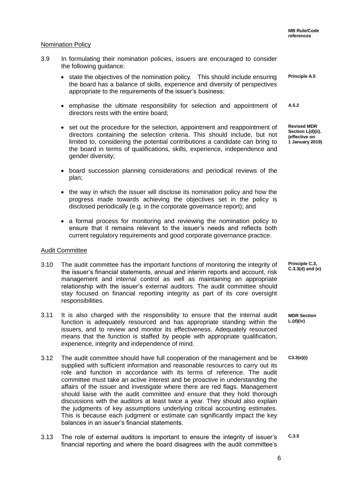#### <span id="page-8-0"></span>Nomination Policy

- 3.9 In formulating their nomination policies, issuers are encouraged to consider the following guidance:
	- **Principle A.5** • state the objectives of the nomination policy. This should include ensuring the board has a balance of skills, experience and diversity of perspectives appropriate to the requirements of the issuer's business;
	- **A.5.2** emphasise the ultimate responsibility for selection and appointment of directors rests with the entire board;
	- set out the procedure for the selection, appointment and reappointment of directors containing the selection criteria. This should include, but not limited to, considering the potential contributions a candidate can bring to the board in terms of qualifications, skills, experience, independence and gender diversity;
	- board succession planning considerations and periodical reviews of the plan;
	- the way in which the issuer will disclose its nomination policy and how the progress made towards achieving the objectives set in the policy is disclosed periodically (e.g. in the corporate governance report); and
	- a formal process for monitoring and reviewing the nomination policy to ensure that it remains relevant to the issuer's needs and reflects both current regulatory requirements and good corporate governance practice.

#### <span id="page-8-1"></span>Audit Committee

- 3.10 The audit committee has the important functions of monitoring the integrity of the issuer's financial statements, annual and interim reports and account, risk management and internal control as well as maintaining an appropriate relationship with the issuer's external auditors. The audit committee should stay focused on financial reporting integrity as part of its core oversight responsibilities.
- **MDR Section L.(d)(iv)** 3.11 It is also charged with the responsibility to ensure that the internal audit function is adequately resourced and has appropriate standing within the issuers, and to review and monitor its effectiveness. Adequately resourced means that the function is staffed by people with appropriate qualification, experience, integrity and independence of mind.
- **C3.3(e)(i)** 3.12 The audit committee should have full cooperation of the management and be supplied with sufficient information and reasonable resources to carry out its role and function in accordance with its terms of reference. The audit committee must take an active interest and be proactive in understanding the affairs of the issuer and investigate where there are red flags. Management should liaise with the audit committee and ensure that they hold thorough discussions with the auditors at least twice a year. They should also explain the judgments of key assumptions underlying critical accounting estimates. This is because each judgment or estimate can significantly impact the key balances in an issuer's financial statements.
- **C.3.5** 3.13 The role of external auditors is important to ensure the integrity of issuer's financial reporting and where the board disagrees with the audit committee's

**Revised MDR Section L(d)(ii). (effective on 1 January 2019)**

**Principle C.3, C.3.3(d) and (e)**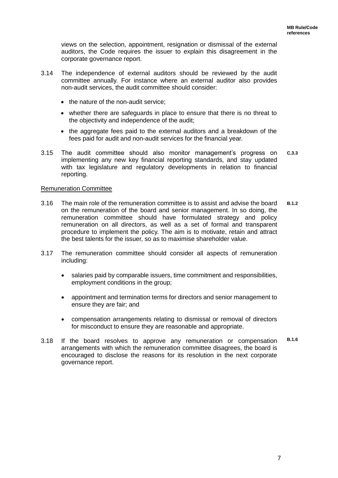views on the selection, appointment, resignation or dismissal of the external auditors, the Code requires the issuer to explain this disagreement in the corporate governance report.

- 3.14 The independence of external auditors should be reviewed by the audit committee annually. For instance where an external auditor also provides non-audit services, the audit committee should consider:
	- the nature of the non-audit service:
	- whether there are safeguards in place to ensure that there is no threat to the objectivity and independence of the audit;
	- the aggregate fees paid to the external auditors and a breakdown of the fees paid for audit and non-audit services for the financial year.
- **C.3.3** 3.15 The audit committee should also monitor management's progress on implementing any new key financial reporting standards, and stay updated with tax legislature and regulatory developments in relation to financial reporting.

#### <span id="page-9-0"></span>Remuneration Committee

- **B.1.2** 3.16 The main role of the remuneration committee is to assist and advise the board on the remuneration of the board and senior management. In so doing, the remuneration committee should have formulated strategy and policy remuneration on all directors, as well as a set of formal and transparent procedure to implement the policy. The aim is to motivate, retain and attract the best talents for the issuer, so as to maximise shareholder value.
- 3.17 The remuneration committee should consider all aspects of remuneration including:
	- salaries paid by comparable issuers, time commitment and responsibilities, employment conditions in the group;
	- appointment and termination terms for directors and senior management to ensure they are fair; and
	- compensation arrangements relating to dismissal or removal of directors for misconduct to ensure they are reasonable and appropriate.
- **B.1.6** 3.18 If the board resolves to approve any remuneration or compensation arrangements with which the remuneration committee disagrees, the board is encouraged to disclose the reasons for its resolution in the next corporate governance report.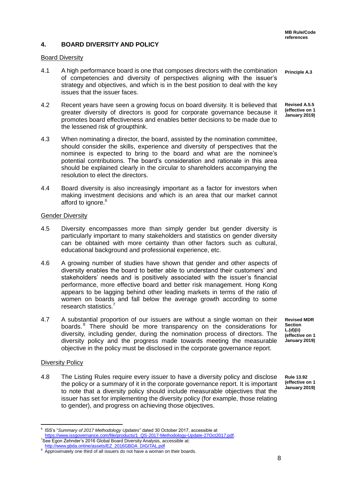#### **4. BOARD DIVERSITY AND POLICY**

#### Board Diversity

- **Principle A.3** 4.1 A high performance board is one that composes directors with the combination of competencies and diversity of perspectives aligning with the issuer's strategy and objectives, and which is in the best position to deal with the key issues that the issuer faces.
- **Revised A.5.5 (effective on 1 January 2019)** 4.2 Recent years have seen a growing focus on board diversity. It is believed that greater diversity of directors is good for corporate governance because it promotes board effectiveness and enables better decisions to be made due to the lessened risk of groupthink.
- 4.3 When nominating a director, the board, assisted by the nomination committee, should consider the skills, experience and diversity of perspectives that the nominee is expected to bring to the board and what are the nominee's potential contributions. The board's consideration and rationale in this area should be explained clearly in the circular to shareholders accompanying the resolution to elect the directors.
- 4.4 Board diversity is also increasingly important as a factor for investors when making investment decisions and which is an area that our market cannot afford to ignore.<sup>6</sup>

#### Gender Diversity

- 4.5 Diversity encompasses more than simply gender but gender diversity is particularly important to many stakeholders and statistics on gender diversity can be obtained with more certainty than other factors such as cultural, educational background and professional experience, etc.
- 4.6 A growing number of studies have shown that gender and other aspects of diversity enables the board to better able to understand their customers' and stakeholders' needs and is positively associated with the issuer's financial performance, more effective board and better risk management. Hong Kong appears to be lagging behind other leading markets in terms of the ratio of women on boards and fall below the average growth according to some research statistics.<sup>7</sup>
- 4.7 A substantial proportion of our issuers are without a single woman on their boards. <sup>8</sup> There should be more transparency on the considerations for diversity, including gender, during the nomination process of directors. The diversity policy and the progress made towards meeting the measurable objective in the policy must be disclosed in the corporate governance report.

**Revised MDR Section L.(d)(ii) (effective on 1 January 2019)**

#### Diversity Policy

4.8 The Listing Rules require every issuer to have a diversity policy and disclose the policy or a summary of it in the corporate governance report. It is important to note that a diversity policy should include measurable objectives that the issuer has set for implementing the diversity policy (for example, those relating to gender), and progress on achieving those objectives.

**Rule 13.92 (effective on 1 January 2019)**

<sup>-</sup>6 ISS's "*Summary of 2017 Methodology Updates*" dated 30 October 2017, accessible at [https://www.issgovernance.com/file/products/1\\_QS-2017-Methodology-Update-27Oct2017.pdf.](https://www.issgovernance.com/file/products/1_QS-2017-Methodology-Update-27Oct2017.pdf) <sup>7</sup>See Egon Zehnder's 2016 Global Board Diversity Analysis, accessible at: [http://www.gbda.online/assets/EZ\\_2016GBDA\\_DIGITAL.pdf](http://www.gbda.online/assets/EZ_2016GBDA_DIGITAL.pdf)

**<sup>8</sup>** Approximately one third of all issuers do not have a woman on their boards.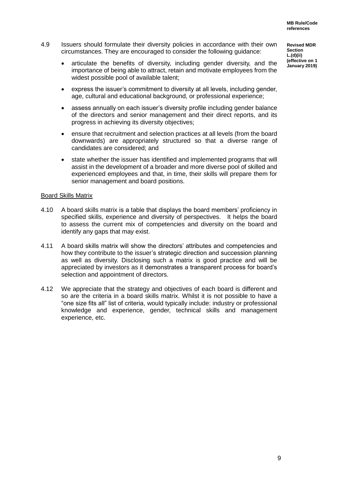- 4.9 Issuers should formulate their diversity policies in accordance with their own circumstances. They are encouraged to consider the following guidance:
	- articulate the benefits of diversity, including gender diversity, and the importance of being able to attract, retain and motivate employees from the widest possible pool of available talent;
	- express the issuer's commitment to diversity at all levels, including gender, age, cultural and educational background, or professional experience;
	- assess annually on each issuer's diversity profile including gender balance of the directors and senior management and their direct reports, and its progress in achieving its diversity objectives;
	- ensure that recruitment and selection practices at all levels (from the board downwards) are appropriately structured so that a diverse range of candidates are considered; and
	- state whether the issuer has identified and implemented programs that will assist in the development of a broader and more diverse pool of skilled and experienced employees and that, in time, their skills will prepare them for senior management and board positions.

#### <span id="page-11-0"></span>Board Skills Matrix

- 4.10 A board skills matrix is a table that displays the board members' proficiency in specified skills, experience and diversity of perspectives. It helps the board to assess the current mix of competencies and diversity on the board and identify any gaps that may exist.
- 4.11 A board skills matrix will show the directors' attributes and competencies and how they contribute to the issuer's strategic direction and succession planning as well as diversity. Disclosing such a matrix is good practice and will be appreciated by investors as it demonstrates a transparent process for board's selection and appointment of directors.
- 4.12 We appreciate that the strategy and objectives of each board is different and so are the criteria in a board skills matrix. Whilst it is not possible to have a "one size fits all" list of criteria, would typically include: industry or professional knowledge and experience, gender, technical skills and management experience, etc.

**Revised MDR Section L.(d)(ii) (effective on 1 January 2019)**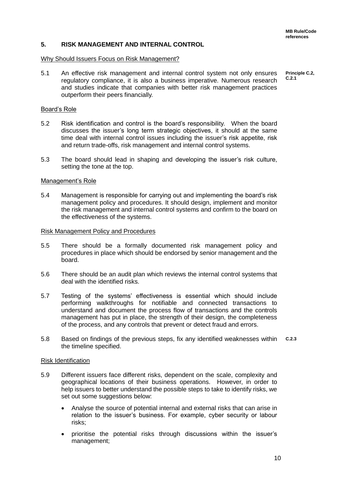#### <span id="page-12-0"></span>**5. RISK MANAGEMENT AND INTERNAL CONTROL**

#### <span id="page-12-1"></span>Why Should Issuers Focus on Risk Management?

**Principle C.2, C.2.1** 5.1 An effective risk management and internal control system not only ensures regulatory compliance, it is also a business imperative. Numerous research and studies indicate that companies with better risk management practices outperform their peers financially.

#### <span id="page-12-2"></span>Board's Role

- 5.2 Risk identification and control is the board's responsibility. When the board discusses the issuer's long term strategic objectives, it should at the same time deal with internal control issues including the issuer's risk appetite, risk and return trade-offs, risk management and internal control systems.
- 5.3 The board should lead in shaping and developing the issuer's risk culture, setting the tone at the top.

#### <span id="page-12-3"></span>Management's Role

5.4 Management is responsible for carrying out and implementing the board's risk management policy and procedures. It should design, implement and monitor the risk management and internal control systems and confirm to the board on the effectiveness of the systems.

#### <span id="page-12-4"></span>Risk Management Policy and Procedures

- 5.5 There should be a formally documented risk management policy and procedures in place which should be endorsed by senior management and the board.
- 5.6 There should be an audit plan which reviews the internal control systems that deal with the identified risks.
- 5.7 Testing of the systems' effectiveness is essential which should include performing walkthroughs for notifiable and connected transactions to understand and document the process flow of transactions and the controls management has put in place, the strength of their design, the completeness of the process, and any controls that prevent or detect fraud and errors.
- **C.2.3** 5.8 Based on findings of the previous steps, fix any identified weaknesses within the timeline specified.

#### <span id="page-12-5"></span>Risk Identification

- 5.9 Different issuers face different risks, dependent on the scale, complexity and geographical locations of their business operations. However, in order to help issuers to better understand the possible steps to take to identify risks, we set out some suggestions below:
	- Analyse the source of potential internal and external risks that can arise in relation to the issuer's business. For example, cyber security or labour risks;
	- prioritise the potential risks through discussions within the issuer's management;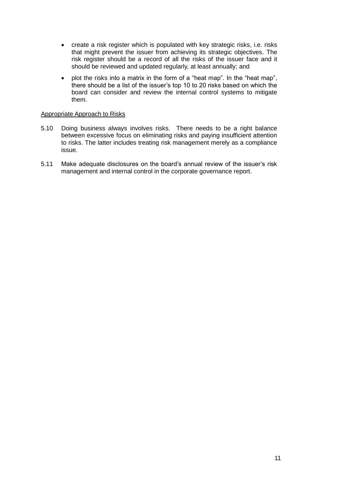- create a risk register which is populated with key strategic risks, i.e. risks that might prevent the issuer from achieving its strategic objectives. The risk register should be a record of all the risks of the issuer face and it should be reviewed and updated regularly, at least annually; and
- plot the risks into a matrix in the form of a "heat map". In the "heat map". there should be a list of the issuer's top 10 to 20 risks based on which the board can consider and review the internal control systems to mitigate them.

#### <span id="page-13-0"></span>Appropriate Approach to Risks

- 5.10 Doing business always involves risks. There needs to be a right balance between excessive focus on eliminating risks and paying insufficient attention to risks. The latter includes treating risk management merely as a compliance issue.
- 5.11 Make adequate disclosures on the board's annual review of the issuer's risk management and internal control in the corporate governance report.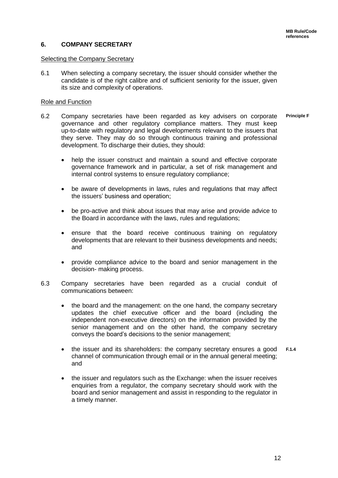#### <span id="page-14-0"></span>**6. COMPANY SECRETARY**

#### <span id="page-14-1"></span>Selecting the Company Secretary

6.1 When selecting a company secretary, the issuer should consider whether the candidate is of the right calibre and of sufficient seniority for the issuer, given its size and complexity of operations.

#### <span id="page-14-2"></span>Role and Function

- **Principle F** 6.2 Company secretaries have been regarded as key advisers on corporate governance and other regulatory compliance matters. They must keep up-to-date with regulatory and legal developments relevant to the issuers that they serve. They may do so through continuous training and professional development. To discharge their duties, they should:
	- help the issuer construct and maintain a sound and effective corporate governance framework and in particular, a set of risk management and internal control systems to ensure regulatory compliance;
	- be aware of developments in laws, rules and regulations that may affect the issuers' business and operation;
	- be pro-active and think about issues that may arise and provide advice to the Board in accordance with the laws, rules and regulations;
	- ensure that the board receive continuous training on regulatory developments that are relevant to their business developments and needs; and
	- provide compliance advice to the board and senior management in the decision- making process.
- 6.3 Company secretaries have been regarded as a crucial conduit of communications between:
	- the board and the management: on the one hand, the company secretary updates the chief executive officer and the board (including the independent non-executive directors) on the information provided by the senior management and on the other hand, the company secretary conveys the board's decisions to the senior management;
	- **F.1.4** the issuer and its shareholders: the company secretary ensures a good channel of communication through email or in the annual general meeting; and
	- the issuer and regulators such as the Exchange: when the issuer receives enquiries from a regulator, the company secretary should work with the board and senior management and assist in responding to the regulator in a timely manner.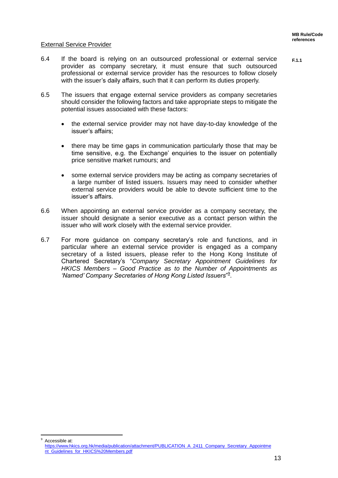**F.1.1**

#### <span id="page-15-0"></span>External Service Provider

-

- 6.4 If the board is relying on an outsourced professional or external service provider as company secretary, it must ensure that such outsourced professional or external service provider has the resources to follow closely with the issuer's daily affairs, such that it can perform its duties properly.
- 6.5 The issuers that engage external service providers as company secretaries should consider the following factors and take appropriate steps to mitigate the potential issues associated with these factors:
	- the external service provider may not have day-to-day knowledge of the issuer's affairs;
	- there may be time gaps in communication particularly those that may be time sensitive, e.g. the Exchange' enquiries to the issuer on potentially price sensitive market rumours; and
	- some external service providers may be acting as company secretaries of a large number of listed issuers. Issuers may need to consider whether external service providers would be able to devote sufficient time to the issuer's affairs.
- 6.6 When appointing an external service provider as a company secretary, the issuer should designate a senior executive as a contact person within the issuer who will work closely with the external service provider.
- 6.7 For more guidance on company secretary's role and functions, and in particular where an external service provider is engaged as a company secretary of a listed issuers, please refer to the Hong Kong Institute of Chartered Secretary's "*Company Secretary Appointment Guidelines for HKICS Members – Good Practice as to the Number of Appointments as*  'Named' Company Secretaries of Hong Kong Listed Issuers"<sup>9</sup>.

Accessible at: [https://www.hkics.org.hk/media/publication/attachment/PUBLICATION\\_A\\_2411\\_Company\\_Secretary\\_Appointme](https://www.hkics.org.hk/media/publication/attachment/PUBLICATION_A_2411_Company_Secretary_Appointment_Guidelines_for_HKICS%20Members.pdf) [nt\\_Guidelines\\_for\\_HKICS%20Members.pdf](https://www.hkics.org.hk/media/publication/attachment/PUBLICATION_A_2411_Company_Secretary_Appointment_Guidelines_for_HKICS%20Members.pdf)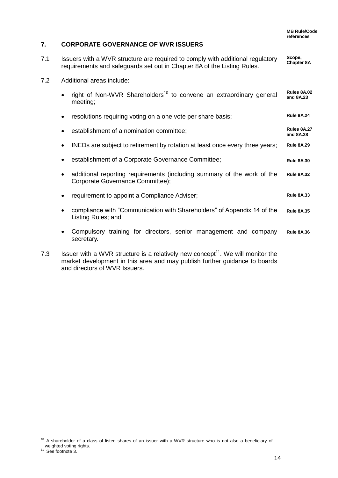#### <span id="page-16-0"></span>**7. CORPORATE GOVERNANCE OF WVR ISSUERS**

- **Scope, Chapter 8A** 7.1 Issuers with a WVR structure are required to comply with additional regulatory requirements and safeguards set out in Chapter 8A of the Listing Rules.
- 7.2 Additional areas include:

|     |           | right of Non-WVR Shareholders <sup>10</sup> to convene an extraordinary general<br>meeting;                 | Rules 8A.02<br>and 8A.23 |
|-----|-----------|-------------------------------------------------------------------------------------------------------------|--------------------------|
|     | $\bullet$ | resolutions requiring voting on a one vote per share basis;                                                 | <b>Rule 8A.24</b>        |
|     | $\bullet$ | establishment of a nomination committee;                                                                    | Rules 8A.27<br>and 8A.28 |
|     | $\bullet$ | INEDs are subject to retirement by rotation at least once every three years;                                | <b>Rule 8A.29</b>        |
|     |           | establishment of a Corporate Governance Committee;                                                          | <b>Rule 8A.30</b>        |
|     | $\bullet$ | additional reporting requirements (including summary of the work of the<br>Corporate Governance Committee); | <b>Rule 8A.32</b>        |
|     |           | requirement to appoint a Compliance Adviser;                                                                | <b>Rule 8A.33</b>        |
|     |           | compliance with "Communication with Shareholders" of Appendix 14 of the<br>Listing Rules; and               | <b>Rule 8A.35</b>        |
|     |           | Compulsory training for directors, senior management and company<br>secretary.                              | <b>Rule 8A.36</b>        |
| 7.3 |           | Issuer with a WVR structure is a relatively new concept <sup>11</sup> . We will monitor the                 |                          |

market development in this area and may publish further guidance to boards and directors of WVR Issuers.

<sup>-</sup> $10$  A shareholder of a class of listed shares of an issuer with a WVR structure who is not also a beneficiary of weighted voting rights.<br><sup>11</sup> See footnote 3.